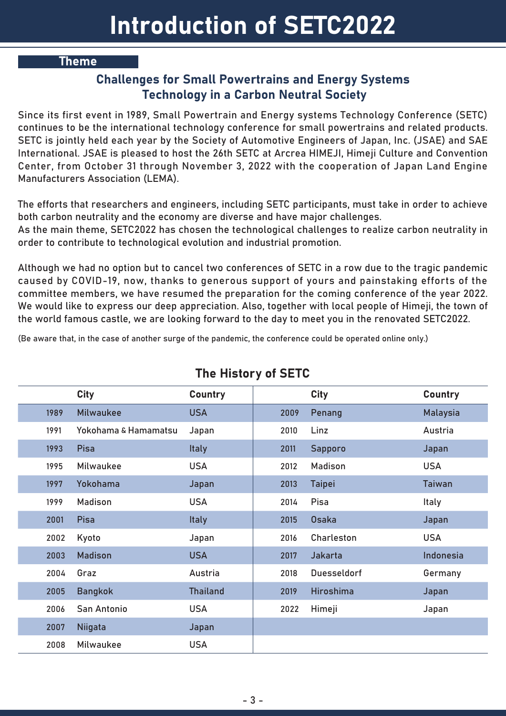#### Theme

#### Challenges for Small Powertrains and Energy Systems Technology in a Carbon Neutral Society

Since its first event in 1989, Small Powertrain and Energy systems Technology Conference (SETC) continues to be the international technology conference for small powertrains and related products. SETC is jointly held each year by the Society of Automotive Engineers of Japan, Inc. (JSAE) and SAE International. JSAE is pleased to host the 26th SETC at Arcrea HIMEJI, Himeji Culture and Convention Center, from October 31 through November 3, 2022 with the cooperation of Japan Land Engine Manufacturers Association (LEMA).

The efforts that researchers and engineers, including SETC participants, must take in order to achieve both carbon neutrality and the economy are diverse and have major challenges.

As the main theme, SETC2022 has chosen the technological challenges to realize carbon neutrality in order to contribute to technological evolution and industrial promotion.

Although we had no option but to cancel two conferences of SETC in a row due to the tragic pandemic caused by COVID-19, now, thanks to generous support of yours and painstaking efforts of the committee members, we have resumed the preparation for the coming conference of the year 2022. We would like to express our deep appreciation. Also, together with local people of Himeji, the town of the world famous castle, we are looking forward to the day to meet you in the renovated SETC2022.

(Be aware that, in the case of another surge of the pandemic, the conference could be operated online only.)

|      | <b>City</b>          | <b>Country</b>  |      | <b>City</b>        | Country         |
|------|----------------------|-----------------|------|--------------------|-----------------|
| 1989 | <b>Milwaukee</b>     | <b>USA</b>      | 2009 | Penang             | <b>Malaysia</b> |
| 1991 | Yokohama & Hamamatsu | Japan           | 2010 | Linz               | Austria         |
| 1993 | Pisa                 | <b>Italy</b>    | 2011 | Sapporo            | Japan           |
| 1995 | Milwaukee            | <b>USA</b>      | 2012 | <b>Madison</b>     | <b>USA</b>      |
| 1997 | Yokohama             | Japan           | 2013 | <b>Taipei</b>      | <b>Taiwan</b>   |
| 1999 | <b>Madison</b>       | <b>USA</b>      | 2014 | Pisa               | <b>Italy</b>    |
| 2001 | Pisa                 | <b>Italy</b>    | 2015 | <b>Osaka</b>       | Japan           |
| 2002 | Kyoto                | Japan           | 2016 | Charleston         | <b>USA</b>      |
| 2003 | <b>Madison</b>       | <b>USA</b>      | 2017 | Jakarta            | Indonesia       |
| 2004 | Graz                 | Austria         | 2018 | <b>Duesseldorf</b> | Germany         |
| 2005 | <b>Bangkok</b>       | <b>Thailand</b> | 2019 | <b>Hiroshima</b>   | Japan           |
| 2006 | San Antonio          | <b>USA</b>      | 2022 | Himeji             | Japan           |
| 2007 | <b>Niigata</b>       | Japan           |      |                    |                 |
| 2008 | Milwaukee            | <b>USA</b>      |      |                    |                 |

## The History of SETC